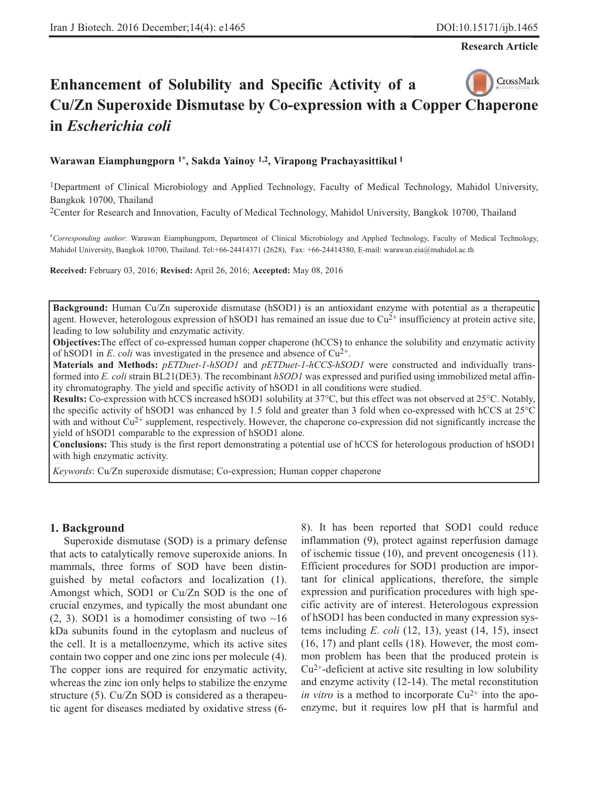**Research Article**

# CrossMark **Enhancement of Solubility and Specific Activity of a Cu/Zn Superoxide Dismutase by Co-expression with a Copper Chaperone in** *Escherichia coli*

#### **Warawan Eiamphungporn 1\*, Sakda Yainoy 1,2, Virapong Prachayasittikul 1**

1Department of Clinical Microbiology and Applied Technology, Faculty of Medical Technology, Mahidol University, Bangkok 10700, Thailand

2Center for Research and Innovation, Faculty of Medical Technology, Mahidol University, Bangkok 10700, Thailand

\**Corresponding author*: Warawan Eiamphungporn, Department of Clinical Microbiology and Applied Technology, Faculty of Medical Technology, Mahidol University, Bangkok 10700, Thailand. Tel:+66-24414371 (2628), Fax: +66-24414380, E-mail: warawan.eia@mahidol.ac.th

**Received:** February 03, 2016; **Revised:** April 26, 2016; **Accepted:** May 08, 2016

**Background:** Human Cu/Zn superoxide dismutase (hSOD1) is an antioxidant enzyme with potential as a therapeutic agent. However, heterologous expression of hSOD1 has remained an issue due to  $Cu^{2+}$  insufficiency at protein active site, leading to low solubility and enzymatic activity.

**Objectives:** The effect of co-expressed human copper chaperone (hCCS) to enhance the solubility and enzymatic activity of hSOD1 in *E*. *coli* was investigated in the presence and absence of  $Cu^{2+}$ .

**Materials and Methods:** *pETDuet-1-hSOD1* and *pETDuet-1-hCCS-hSOD1* were constructed and individually transformed into *E. coli* strain BL21(DE3). The recombinant *hSOD1* was expressed and purified using immobilized metal affinity chromatography. The yield and specific activity of hSOD1 in all conditions were studied.

**Results:** Co-expression with hCCS increased hSOD1 solubility at 37*°*C, but this effect was not observed at 25*°*C. Notably, the specific activity of hSOD1 was enhanced by 1.5 fold and greater than 3 fold when co-expressed with hCCS at 25*°*C with and without  $Cu^{2+}$  supplement, respectively. However, the chaperone co-expression did not significantly increase the yield of hSOD1 comparable to the expression of hSOD1 alone.

**Conclusions:** This study is the first report demonstrating a potential use of hCCS for heterologous production of hSOD1 with high enzymatic activity.

*Keywords*: Cu/Zn superoxide dismutase; Co-expression; Human copper chaperone

#### **1. Background**

Superoxide dismutase (SOD) is a primary defense that acts to catalytically remove superoxide anions. In mammals, three forms of SOD have been distinguished by metal cofactors and localization (1). Amongst which, SOD1 or Cu/Zn SOD is the one of crucial enzymes, and typically the most abundant one  $(2, 3)$ . SOD1 is a homodimer consisting of two  $\sim 16$ kDa subunits found in the cytoplasm and nucleus of the cell. It is a metalloenzyme, which its active sites contain two copper and one zinc ions per molecule (4). The copper ions are required for enzymatic activity, whereas the zinc ion only helps to stabilize the enzyme structure (5). Cu/Zn SOD is considered as a therapeutic agent for diseases mediated by oxidative stress (68). It has been reported that SOD1 could reduce inflammation (9), protect against reperfusion damage of ischemic tissue (10), and prevent oncogenesis (11). Efficient procedures for SOD1 production are important for clinical applications, therefore, the simple expression and purification procedures with high specific activity are of interest. Heterologous expression of hSOD1 has been conducted in many expression systems including *E*. *coli* (12, 13), yeast (14, 15), insect (16, 17) and plant cells (18). However, the most common problem has been that the produced protein is  $Cu<sup>2+</sup>$ -deficient at active site resulting in low solubility and enzyme activity (12-14). The metal reconstitution *in vitro* is a method to incorporate  $Cu^{2+}$  into the apoenzyme, but it requires low pH that is harmful and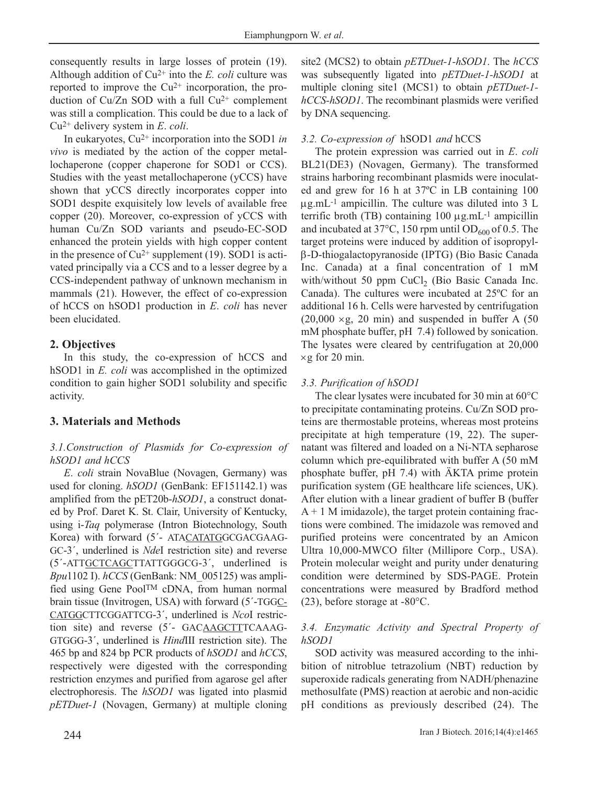consequently results in large losses of protein (19). Although addition of  $Cu^{2+}$  into the *E. coli* culture was reported to improve the  $Cu^{2+}$  incorporation, the production of  $Cu/Zn$  SOD with a full  $Cu^{2+}$  complement was still a complication. This could be due to a lack of Cu2+ delivery system in *E*. *coli*.

In eukaryotes, Cu2+ incorporation into the SOD1 *in vivo* is mediated by the action of the copper metallochaperone (copper chaperone for SOD1 or CCS). Studies with the yeast metallochaperone (yCCS) have shown that yCCS directly incorporates copper into SOD1 despite exquisitely low levels of available free copper (20). Moreover, co-expression of yCCS with human Cu/Zn SOD variants and pseudo-EC-SOD enhanced the protein yields with high copper content in the presence of  $Cu^{2+}$  supplement (19). SOD1 is activated principally via a CCS and to a lesser degree by a CCS-independent pathway of unknown mechanism in mammals (21). However, the effect of co-expression of hCCS on hSOD1 production in *E*. *coli* has never been elucidated.

### **2. Objectives**

In this study, the co-expression of hCCS and hSOD1 in *E. coli* was accomplished in the optimized condition to gain higher SOD1 solubility and specific activity.

## **3. Materials and Methods**

### *3.1.Construction of Plasmids for Co-expression of hSOD1 and hCCS*

*E*. *coli* strain NovaBlue (Novagen, Germany) was used for cloning. *hSOD1* (GenBank: EF151142.1) was amplified from the pET20b-*hSOD1*, a construct donated by Prof. Daret K. St. Clair, University of Kentucky, using i-*Taq* polymerase (Intron Biotechnology, South Korea) with forward (5´- ATACATATGGCGACGAAG-GC-3´, underlined is *Nde*I restriction site) and reverse (5´-ATTGCTCAGCTTATTGGGCG-3´, underlined is *Bpu*1102 I). *hCCS* (GenBank: NM\_005125) was amplified using Gene PoolTM cDNA, from human normal brain tissue (Invitrogen, USA) with forward (5´-TGGC-CATGGCTTCGGATTCG-3´, underlined is *Nco*I restriction site) and reverse (5´- GACAAGCTTTCAAAG-GTGGG-3´, underlined is *Hind*III restriction site). The 465 bp and 824 bp PCR products of *hSOD1* and *hCCS*, respectively were digested with the corresponding restriction enzymes and purified from agarose gel after electrophoresis. The *hSOD1* was ligated into plasmid *pETDuet-1* (Novagen, Germany) at multiple cloning site2 (MCS2) to obtain *pETDuet-1-hSOD1*. The *hCCS* was subsequently ligated into *pETDuet-1-hSOD1* at multiple cloning site1 (MCS1) to obtain *pETDuet-1 hCCS-hSOD1*. The recombinant plasmids were verified by DNA sequencing.

### *3.2. Co-expression of* hSOD1 *and* hCCS

The protein expression was carried out in *E*. *coli* BL21(DE3) (Novagen, Germany). The transformed strains harboring recombinant plasmids were inoculated and grew for 16 h at 37ºC in LB containing 100 μg.mL-1 ampicillin. The culture was diluted into 3 L terrific broth (TB) containing  $100 \mu$ g.mL<sup>-1</sup> ampicillin and incubated at  $37^{\circ}$ C, 150 rpm until OD<sub>600</sub> of 0.5. The target proteins were induced by addition of isopropylβ-D-thiogalactopyranoside (IPTG) (Bio Basic Canada Inc. Canada) at a final concentration of 1 mM with/without 50 ppm CuCl<sub>2</sub> (Bio Basic Canada Inc. Canada). The cultures were incubated at 25ºC for an additional 16 h. Cells were harvested by centrifugation  $(20,000 \times g, 20 \text{ min})$  and suspended in buffer A  $(50$ mM phosphate buffer, pH 7.4) followed by sonication. The lysates were cleared by centrifugation at 20,000  $\times$ g for 20 min.

### *3.3. Purification of hSOD1*

The clear lysates were incubated for 30 min at 60*°*C to precipitate contaminating proteins. Cu/Zn SOD proteins are thermostable proteins, whereas most proteins precipitate at high temperature (19, 22). The supernatant was filtered and loaded on a Ni-NTA sepharose column which pre-equilibrated with buffer A (50 mM phosphate buffer, pH 7.4) with ÄKTA prime protein purification system (GE healthcare life sciences, UK). After elution with a linear gradient of buffer B (buffer  $A + 1$  M imidazole), the target protein containing fractions were combined. The imidazole was removed and purified proteins were concentrated by an Amicon Ultra 10,000-MWCO filter (Millipore Corp., USA). Protein molecular weight and purity under denaturing condition were determined by SDS-PAGE. Protein concentrations were measured by Bradford method (23), before storage at -80°C.

### *3.4. Enzymatic Activity and Spectral Property of hSOD1*

SOD activity was measured according to the inhibition of nitroblue tetrazolium (NBT) reduction by superoxide radicals generating from NADH/phenazine methosulfate (PMS) reaction at aerobic and non-acidic pH conditions as previously described (24). The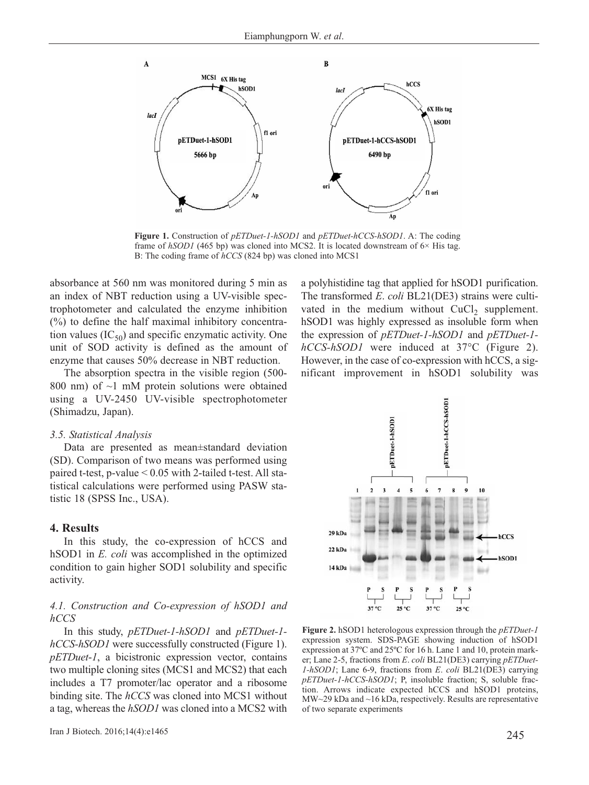

**Figure 1.** Construction of *pETDuet-1-hSOD1* and *pETDuet-hCCS-hSOD1*. A: The coding frame of  $hSOD1$  (465 bp) was cloned into MCS2. It is located downstream of  $6\times$  His tag. B: The coding frame of *hCCS* (824 bp) was cloned into MCS1

absorbance at 560 nm was monitored during 5 min as an index of NBT reduction using a UV-visible spectrophotometer and calculated the enzyme inhibition (%) to define the half maximal inhibitory concentration values  $(IC_{50})$  and specific enzymatic activity. One unit of SOD activity is defined as the amount of enzyme that causes 50% decrease in NBT reduction.

The absorption spectra in the visible region (500- 800 nm) of  $\sim$ 1 mM protein solutions were obtained using a UV-2450 UV-visible spectrophotometer (Shimadzu, Japan).

#### *3.5. Statistical Analysis*

Data are presented as mean±standard deviation (SD). Comparison of two means was performed using paired t-test, p-value < 0.05 with 2-tailed t-test. All statistical calculations were performed using PASW statistic 18 (SPSS Inc., USA).

#### **4. Results**

In this study, the co-expression of hCCS and hSOD1 in *E. coli* was accomplished in the optimized condition to gain higher SOD1 solubility and specific activity.

#### *4.1. Construction and Co-expression of hSOD1 and hCCS*

In this study, *pETDuet-1-hSOD1* and *pETDuet-1 hCCS-hSOD1* were successfully constructed (Figure 1). *pETDuet*-*1*, a bicistronic expression vector, contains two multiple cloning sites (MCS1 and MCS2) that each includes a T7 promoter/lac operator and a ribosome binding site. The *hCCS* was cloned into MCS1 without a tag, whereas the *hSOD1* was cloned into a MCS2 with a polyhistidine tag that applied for hSOD1 purification. The transformed *E*. *coli* BL21(DE3) strains were cultivated in the medium without  $CuCl<sub>2</sub>$  supplement. hSOD1 was highly expressed as insoluble form when the expression of *pETDuet-1-hSOD1* and *pETDuet-1 hCCS-hSOD1* were induced at 37*°*C (Figure 2). However, in the case of co-expression with hCCS, a significant improvement in hSOD1 solubility was



**Figure 2.** hSOD1 heterologous expression through the *pETDuet-1* expression system. SDS-PAGE showing induction of hSOD1 expression at 37ºC and 25ºC for 16 h. Lane 1 and 10, protein marker; Lane 2-5, fractions from *E*. *coli* BL21(DE3) carrying *pETDuet-1-hSOD1*; Lane 6-9, fractions from *E*. *coli* BL21(DE3) carrying *pETDuet-1-hCCS-hSOD1*; P, insoluble fraction; S, soluble fraction. Arrows indicate expected hCCS and hSOD1 proteins, MW~29 kDa and ~16 kDa, respectively. Results are representative of two separate experiments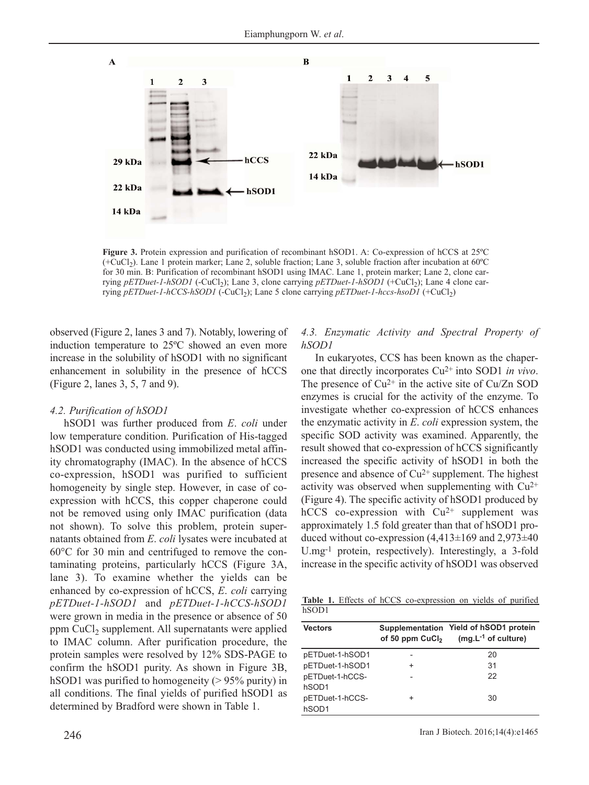

**Figure 3.** Protein expression and purification of recombinant hSOD1. A: Co-expression of hCCS at 25ºC (+CuCl2). Lane 1 protein marker; Lane 2, soluble fraction; Lane 3, soluble fraction after incubation at 60ºC for 30 min. B: Purification of recombinant hSOD1 using IMAC. Lane 1, protein marker; Lane 2, clone carrying *pETDuet-1-hSOD1* (-CuCl<sub>2</sub>); Lane 3, clone carrying *pETDuet-1-hSOD1* (+CuCl<sub>2</sub>); Lane 4 clone carrying *pETDuet-1-hCCS-hSOD1* (-CuCl<sub>2</sub>); Lane 5 clone carrying *pETDuet-1-hccs-hsoD1* (+CuCl<sub>2</sub>)

observed (Figure 2, lanes 3 and 7). Notably, lowering of induction temperature to 25ºC showed an even more increase in the solubility of hSOD1 with no significant enhancement in solubility in the presence of hCCS (Figure 2, lanes 3, 5, 7 and 9).

#### *4.2. Purification of hSOD1*

hSOD1 was further produced from *E*. *coli* under low temperature condition. Purification of His-tagged hSOD1 was conducted using immobilized metal affinity chromatography (IMAC). In the absence of hCCS co-expression, hSOD1 was purified to sufficient homogeneity by single step. However, in case of coexpression with hCCS, this copper chaperone could not be removed using only IMAC purification (data not shown). To solve this problem, protein supernatants obtained from *E*. *coli* lysates were incubated at 60*°*C for 30 min and centrifuged to remove the contaminating proteins, particularly hCCS (Figure 3A, lane 3). To examine whether the yields can be enhanced by co-expression of hCCS, *E*. *coli* carrying *pETDuet-1-hSOD1* and *pETDuet-1-hCCS-hSOD1* were grown in media in the presence or absence of 50 ppm CuCl<sub>2</sub> supplement. All supernatants were applied to IMAC column. After purification procedure, the protein samples were resolved by 12% SDS-PAGE to confirm the hSOD1 purity. As shown in Figure 3B, hSOD1 was purified to homogeneity (> 95% purity) in all conditions. The final yields of purified hSOD1 as determined by Bradford were shown in Table 1.

#### *4.3. Enzymatic Activity and Spectral Property of hSOD1*

In eukaryotes, CCS has been known as the chaperone that directly incorporates Cu2+ into SOD1 *in vivo*. The presence of  $Cu^{2+}$  in the active site of  $Cu/Zn$  SOD enzymes is crucial for the activity of the enzyme. To investigate whether co-expression of hCCS enhances the enzymatic activity in *E*. *coli* expression system, the specific SOD activity was examined. Apparently, the result showed that co-expression of hCCS significantly increased the specific activity of hSOD1 in both the presence and absence of  $Cu^{2+}$  supplement. The highest activity was observed when supplementing with  $Cu^{2+}$ (Figure 4). The specific activity of hSOD1 produced by hCCS co-expression with  $Cu^{2+}$  supplement was approximately 1.5 fold greater than that of hSOD1 produced without co-expression  $(4,413\pm169)$  and  $2,973\pm40$ U.mg-1 protein, respectively). Interestingly, a 3-fold increase in the specific activity of hSOD1 was observed

**Table 1.** Effects of hCCS co-expression on yields of purified hSOD1

| <b>Vectors</b>  |   | Supplementation Yield of hSOD1 protein<br>of 50 ppm $CuCl2$ (mg.L <sup>-1</sup> of culture) |
|-----------------|---|---------------------------------------------------------------------------------------------|
| pETDuet-1-hSOD1 |   | 20                                                                                          |
| pETDuet-1-hSOD1 | + | 31                                                                                          |
| pETDuet-1-hCCS- |   | 22                                                                                          |
| hSOD1           |   |                                                                                             |
| pETDuet-1-hCCS- | + | 30                                                                                          |
| hSOD1           |   |                                                                                             |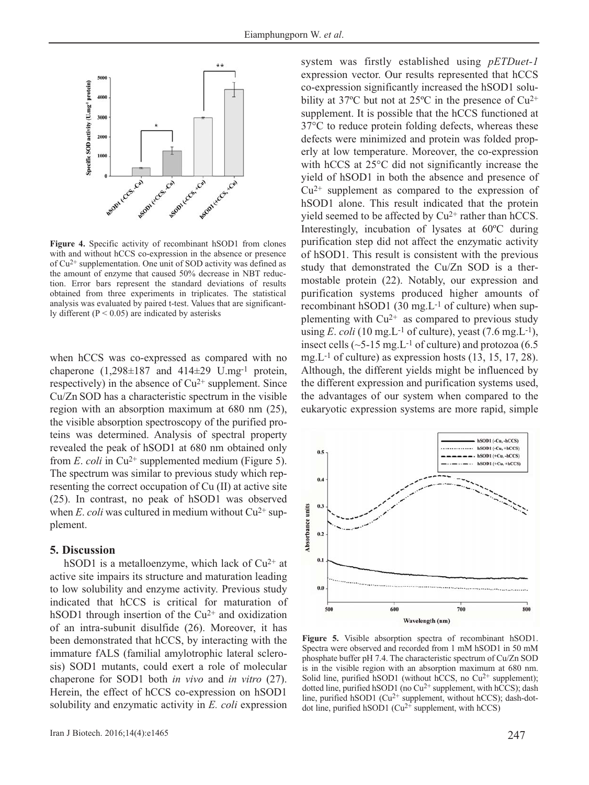

Figure 4. Specific activity of recombinant hSOD1 from clones with and without hCCS co-expression in the absence or presence of Cu2+ supplementation. One unit of SOD activity was defined as the amount of enzyme that caused 50% decrease in NBT reduction. Error bars represent the standard deviations of results obtained from three experiments in triplicates. The statistical analysis was evaluated by paired t-test. Values that are significantly different  $(P < 0.05)$  are indicated by asterisks

when hCCS was co-expressed as compared with no chaperone  $(1,298\pm187)$  and  $414\pm29$  U.mg<sup>-1</sup> protein, respectively) in the absence of  $Cu^{2+}$  supplement. Since Cu/Zn SOD has a characteristic spectrum in the visible region with an absorption maximum at 680 nm (25), the visible absorption spectroscopy of the purified proteins was determined. Analysis of spectral property revealed the peak of hSOD1 at 680 nm obtained only from *E*. *coli* in Cu<sup>2+</sup> supplemented medium (Figure 5). The spectrum was similar to previous study which representing the correct occupation of Cu (II) at active site (25). In contrast, no peak of hSOD1 was observed when *E*. *coli* was cultured in medium without Cu<sup>2+</sup> supplement.

#### **5. Discussion**

hSOD1 is a metalloenzyme, which lack of  $Cu^{2+}$  at active site impairs its structure and maturation leading to low solubility and enzyme activity. Previous study indicated that hCCS is critical for maturation of hSOD1 through insertion of the  $Cu^{2+}$  and oxidization of an intra-subunit disulfide (26). Moreover, it has been demonstrated that hCCS, by interacting with the immature fALS (familial amylotrophic lateral sclerosis) SOD1 mutants, could exert a role of molecular chaperone for SOD1 both *in vivo* and *in vitro* (27). Herein, the effect of hCCS co-expression on hSOD1 solubility and enzymatic activity in *E. coli* expression

system was firstly established using *pETDuet-1* expression vector. Our results represented that hCCS co-expression significantly increased the hSOD1 solubility at 37 $^{\circ}$ C but not at 25 $^{\circ}$ C in the presence of Cu<sup>2+</sup> supplement. It is possible that the hCCS functioned at 37*°*C to reduce protein folding defects, whereas these defects were minimized and protein was folded properly at low temperature. Moreover, the co-expression with hCCS at 25*°*C did not significantly increase the yield of hSOD1 in both the absence and presence of  $Cu<sup>2+</sup>$  supplement as compared to the expression of hSOD1 alone. This result indicated that the protein yield seemed to be affected by  $Cu^{2+}$  rather than hCCS. Interestingly, incubation of lysates at 60ºC during purification step did not affect the enzymatic activity of hSOD1. This result is consistent with the previous study that demonstrated the Cu/Zn SOD is a thermostable protein (22). Notably, our expression and purification systems produced higher amounts of recombinant hSOD1  $(30 \text{ mg} \cdot L^{-1})$  of culture) when supplementing with  $Cu^{2+}$  as compared to previous study using *E*. *coli* (10 mg,  $L^{-1}$  of culture), yeast (7.6 mg,  $L^{-1}$ ), insect cells  $(\sim 5{\text -}15 \text{ mg} \cdot \text{L}^{-1})$  of culture) and protozoa (6.5) mg. L<sup>-1</sup> of culture) as expression hosts  $(13, 15, 17, 28)$ . Although, the different yields might be influenced by the different expression and purification systems used, the advantages of our system when compared to the eukaryotic expression systems are more rapid, simple



**Figure 5.** Visible absorption spectra of recombinant hSOD1. Spectra were observed and recorded from 1 mM hSOD1 in 50 mM phosphate buffer pH 7.4. The characteristic spectrum of Cu/Zn SOD is in the visible region with an absorption maximum at 680 nm. Solid line, purified hSOD1 (without hCCS, no  $Cu^{2+}$  supplement); dotted line, purified hSOD1 (no  $Cu^{2+}$  supplement, with hCCS); dash line, purified hSOD1 (Cu<sup>2+</sup> supplement, without hCCS); dash-dotdot line, purified hSOD1 ( $Cu^{2+}$  supplement, with hCCS)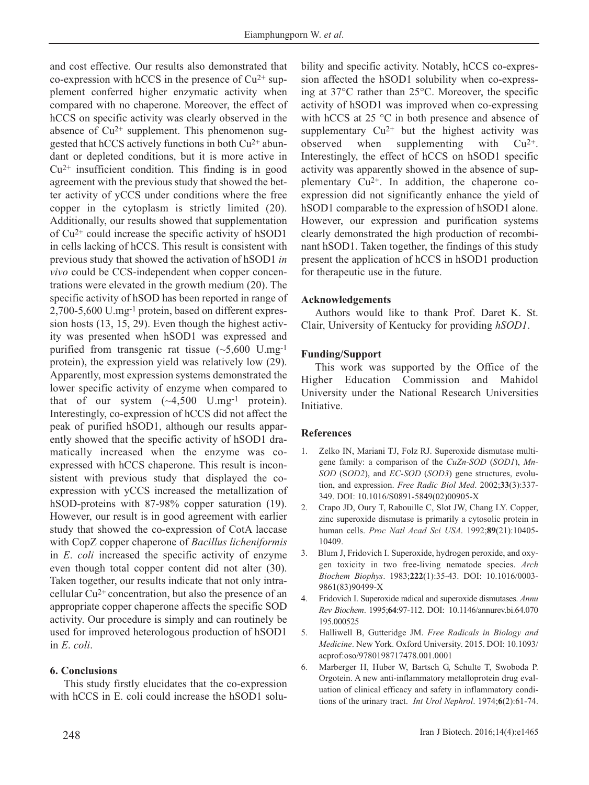and cost effective. Our results also demonstrated that co-expression with hCCS in the presence of  $Cu^{2+}$  supplement conferred higher enzymatic activity when compared with no chaperone. Moreover, the effect of hCCS on specific activity was clearly observed in the absence of  $Cu^{2+}$  supplement. This phenomenon suggested that hCCS actively functions in both Cu2+ abundant or depleted conditions, but it is more active in  $Cu<sup>2+</sup>$  insufficient condition. This finding is in good agreement with the previous study that showed the better activity of yCCS under conditions where the free copper in the cytoplasm is strictly limited (20). Additionally, our results showed that supplementation of Cu2+ could increase the specific activity of hSOD1 in cells lacking of hCCS. This result is consistent with previous study that showed the activation of hSOD1 *in vivo* could be CCS-independent when copper concentrations were elevated in the growth medium (20). The specific activity of hSOD has been reported in range of 2,700-5,600 U.mg-1 protein, based on different expression hosts (13, 15, 29). Even though the highest activity was presented when hSOD1 was expressed and purified from transgenic rat tissue  $(-5,600 \text{ U.mg}^{-1})$ protein), the expression yield was relatively low (29). Apparently, most expression systems demonstrated the lower specific activity of enzyme when compared to that of our system  $(\sim 4,500 \text{ U.mg}^{-1} \text{ protein}).$ Interestingly, co-expression of hCCS did not affect the peak of purified hSOD1, although our results apparently showed that the specific activity of hSOD1 dramatically increased when the enzyme was coexpressed with hCCS chaperone. This result is inconsistent with previous study that displayed the coexpression with yCCS increased the metallization of hSOD-proteins with 87-98% copper saturation (19). However, our result is in good agreement with earlier study that showed the co-expression of CotA laccase with CopZ copper chaperone of *Bacillus licheniformis* in *E*. *coli* increased the specific activity of enzyme even though total copper content did not alter (30). Taken together, our results indicate that not only intracellular Cu2+ concentration, but also the presence of an appropriate copper chaperone affects the specific SOD activity. Our procedure is simply and can routinely be used for improved heterologous production of hSOD1 in *E*. *coli*.

#### **6. Conclusions**

This study firstly elucidates that the co-expression with hCCS in E. coli could increase the hSOD1 solubility and specific activity. Notably, hCCS co-expression affected the hSOD1 solubility when co-expressing at 37°C rather than 25°C. Moreover, the specific activity of hSOD1 was improved when co-expressing with hCCS at 25 °C in both presence and absence of supplementary  $Cu^{2+}$  but the highest activity was observed when supplementing with  $Cu^{2+}$ . Interestingly, the effect of hCCS on hSOD1 specific activity was apparently showed in the absence of supplementary Cu2+. In addition, the chaperone coexpression did not significantly enhance the yield of hSOD1 comparable to the expression of hSOD1 alone. However, our expression and purification systems clearly demonstrated the high production of recombinant hSOD1. Taken together, the findings of this study present the application of hCCS in hSOD1 production for therapeutic use in the future.

#### **Acknowledgements**

Authors would like to thank Prof. Daret K. St. Clair, University of Kentucky for providing *hSOD1*.

#### **Funding/Support**

This work was supported by the Office of the Higher Education Commission and Mahidol University under the National Research Universities Initiative.

#### **References**

- 1. Zelko IN, Mariani TJ, Folz RJ. Superoxide dismutase multigene family: a comparison of the *CuZn-SOD* (*SOD1*), *Mn-SOD* (S*OD2*), and *EC-SOD* (*SOD3*) gene structures, evolution, and expression. *Free Radic Biol Med*. 2002;**33**(3):337- 349. DOI: 10.1016/S0891-5849(02)00905-X
- 2. Crapo JD, Oury T, Rabouille C, Slot JW, Chang LY. Copper, zinc superoxide dismutase is primarily a cytosolic protein in human cells. *Proc Natl Acad Sci USA*. 1992;**89**(21):10405- 10409.
- 3. Blum J, Fridovich I. Superoxide, hydrogen peroxide, and oxygen toxicity in two free-living nematode species. *Arch Biochem Biophys*. 1983;**222**(1):35-43. DOI: 10.1016/0003- 9861(83)90499-X
- 4. Fridovich I. Superoxide radical and superoxide dismutases. *Annu Rev Biochem*. 1995;**64**:97-112. DOI: 10.1146/annurev.bi.64.070 195.000525
- 5. Halliwell B, Gutteridge JM. *Free Radicals in Biology and Medicine*. New York. Oxford University. 2015. DOI: 10.1093/ acprof:oso/9780198717478.001.0001
- 6. Marberger H, Huber W, Bartsch G, Schulte T, Swoboda P. Orgotein. A new anti-inflammatory metalloprotein drug evaluation of clinical efficacy and safety in inflammatory conditions of the urinary tract. *Int Urol Nephrol*. 1974;**6**(2):61-74.